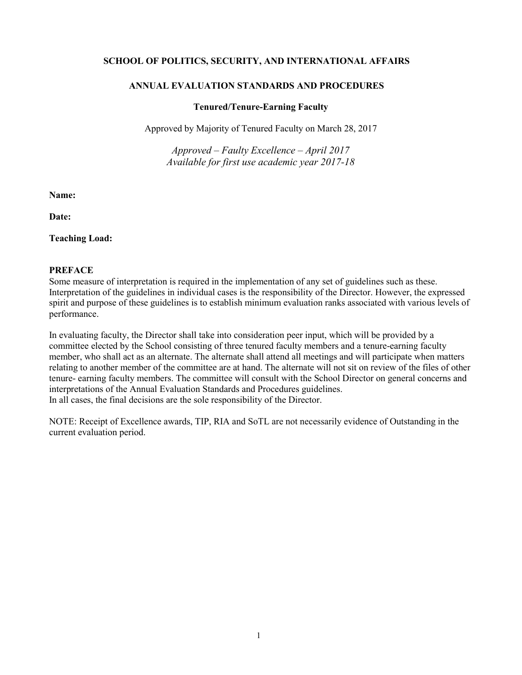## **SCHOOL OF POLITICS, SECURITY, AND INTERNATIONAL AFFAIRS**

## **ANNUAL EVALUATION STANDARDS AND PROCEDURES**

#### **Tenured/Tenure-Earning Faculty**

Approved by Majority of Tenured Faculty on March 28, 2017

*Approved – Faulty Excellence – April 2017 Available for first use academic year 2017-18*

**Name:**

**Date:**

**Teaching Load:**

### **PREFACE**

Some measure of interpretation is required in the implementation of any set of guidelines such as these. Interpretation of the guidelines in individual cases is the responsibility of the Director. However, the expressed spirit and purpose of these guidelines is to establish minimum evaluation ranks associated with various levels of performance.

In evaluating faculty, the Director shall take into consideration peer input, which will be provided by a committee elected by the School consisting of three tenured faculty members and a tenure-earning faculty member, who shall act as an alternate. The alternate shall attend all meetings and will participate when matters relating to another member of the committee are at hand. The alternate will not sit on review of the files of other tenure- earning faculty members. The committee will consult with the School Director on general concerns and interpretations of the Annual Evaluation Standards and Procedures guidelines. In all cases, the final decisions are the sole responsibility of the Director.

NOTE: Receipt of Excellence awards, TIP, RIA and SoTL are not necessarily evidence of Outstanding in the current evaluation period.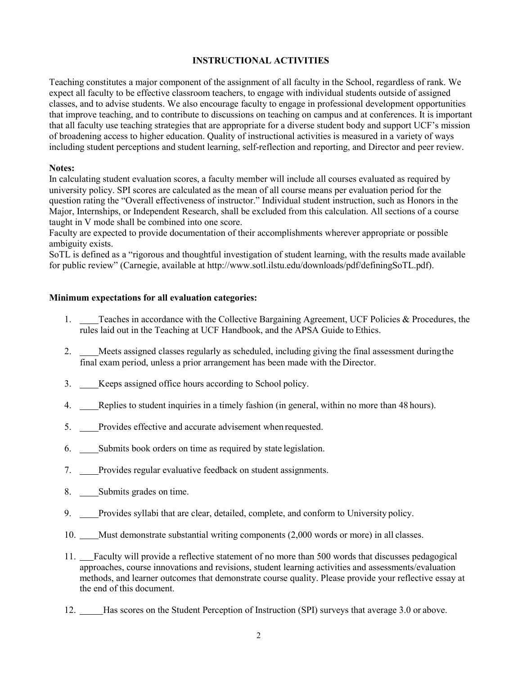# **INSTRUCTIONAL ACTIVITIES**

Teaching constitutes a major component of the assignment of all faculty in the School, regardless of rank. We expect all faculty to be effective classroom teachers, to engage with individual students outside of assigned classes, and to advise students. We also encourage faculty to engage in professional development opportunities that improve teaching, and to contribute to discussions on teaching on campus and at conferences. It is important that all faculty use teaching strategies that are appropriate for a diverse student body and support UCF's mission of broadening access to higher education. Quality of instructional activities is measured in a variety of ways including student perceptions and student learning, self-reflection and reporting, and Director and peer review.

### **Notes:**

In calculating student evaluation scores, a faculty member will include all courses evaluated as required by university policy. SPI scores are calculated as the mean of all course means per evaluation period for the question rating the "Overall effectiveness of instructor." Individual student instruction, such as Honors in the Major, Internships, or Independent Research, shall be excluded from this calculation. All sections of a course taught in V mode shall be combined into one score.

Faculty are expected to provide documentation of their accomplishments wherever appropriate or possible ambiguity exists.

SoTL is defined as a "rigorous and thoughtful investigation of student learning, with the results made available for public review" (Carnegie, available at [http://www.sotl.ilstu.edu/downloads/pdf/definingSoTL.pdf\)](http://www.sotl.ilstu.edu/downloads/pdf/definingSoTL.pdf).

### **Minimum expectations for all evaluation categories:**

- 1. Teaches in accordance with the Collective Bargaining Agreement, UCF Policies & Procedures, the rules laid out in the Teaching at UCF Handbook, and the APSA Guide to Ethics.
- 2. Meets assigned classes regularly as scheduled, including giving the final assessment duringthe final exam period, unless a prior arrangement has been made with the Director.
- 3. \_\_\_\_Keeps assigned office hours according to School policy.
- 4. Replies to student inquiries in a timely fashion (in general, within no more than 48 hours).
- 5. Provides effective and accurate advisement when requested.
- 6. Submits book orders on time as required by state legislation.
- 7. Provides regular evaluative feedback on student assignments.
- 8. Submits grades on time.
- 9. \_\_\_Provides syllabi that are clear, detailed, complete, and conform to University policy.
- 10. Must demonstrate substantial writing components (2,000 words or more) in all classes.
- 11. Faculty will provide a reflective statement of no more than 500 words that discusses pedagogical approaches, course innovations and revisions, student learning activities and assessments/evaluation methods, and learner outcomes that demonstrate course quality. Please provide your reflective essay at the end of this document.
- 12. Has scores on the Student Perception of Instruction (SPI) surveys that average 3.0 or above.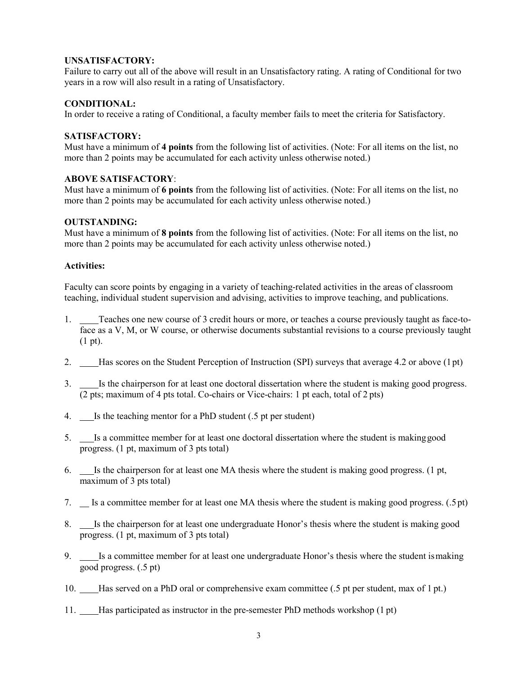## **UNSATISFACTORY:**

Failure to carry out all of the above will result in an Unsatisfactory rating. A rating of Conditional for two years in a row will also result in a rating of Unsatisfactory.

## **CONDITIONAL:**

In order to receive a rating of Conditional, a faculty member fails to meet the criteria for Satisfactory.

# **SATISFACTORY:**

Must have a minimum of **4 points** from the following list of activities. (Note: For all items on the list, no more than 2 points may be accumulated for each activity unless otherwise noted.)

# **ABOVE SATISFACTORY**:

Must have a minimum of **6 points** from the following list of activities. (Note: For all items on the list, no more than 2 points may be accumulated for each activity unless otherwise noted.)

# **OUTSTANDING:**

Must have a minimum of **8 points** from the following list of activities. (Note: For all items on the list, no more than 2 points may be accumulated for each activity unless otherwise noted.)

# **Activities:**

Faculty can score points by engaging in a variety of teaching-related activities in the areas of classroom teaching, individual student supervision and advising, activities to improve teaching, and publications.

- 1. Teaches one new course of 3 credit hours or more, or teaches a course previously taught as face-toface as a V, M, or W course, or otherwise documents substantial revisions to a course previously taught (1 pt).
- 2. Has scores on the Student Perception of Instruction (SPI) surveys that average 4.2 or above (1pt)
- 3. Is the chairperson for at least one doctoral dissertation where the student is making good progress. (2 pts; maximum of 4 pts total. Co-chairs or Vice-chairs: 1 pt each, total of 2 pts)
- 4. Is the teaching mentor for a PhD student (.5 pt per student)
- 5. Is a committee member for at least one doctoral dissertation where the student is makinggood progress. (1 pt, maximum of 3 pts total)
- 6. Is the chairperson for at least one MA thesis where the student is making good progress. (1 pt, maximum of 3 pts total)
- 7. Is a committee member for at least one MA thesis where the student is making good progress. (.5pt)
- 8. Is the chairperson for at least one undergraduate Honor's thesis where the student is making good progress. (1 pt, maximum of 3 pts total)
- 9. **IS a committee member for at least one undergraduate Honor's thesis where the student is making** good progress. (.5 pt)
- 10. Has served on a PhD oral or comprehensive exam committee (.5 pt per student, max of 1 pt.)
- 11. Has participated as instructor in the pre-semester PhD methods workshop (1 pt)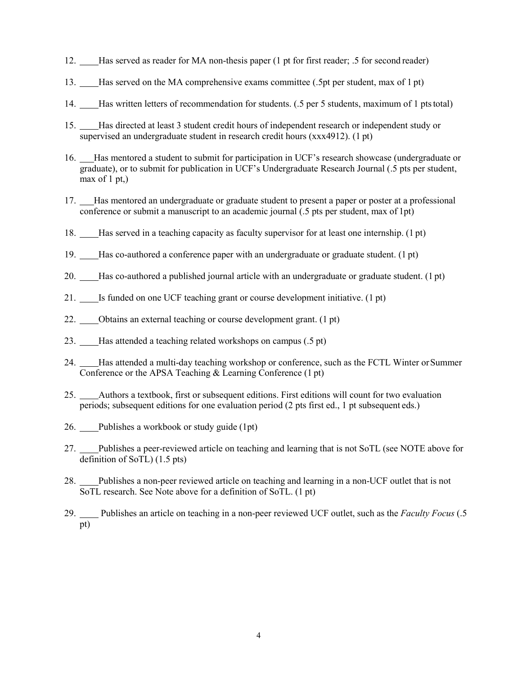- 12. Has served as reader for MA non-thesis paper (1 pt for first reader; .5 for second reader)
- 13. Has served on the MA comprehensive exams committee (.5pt per student, max of 1 pt)
- 14. Has written letters of recommendation for students. (.5 per 5 students, maximum of 1 ptstotal)
- 15. Has directed at least 3 student credit hours of independent research or independent study or supervised an undergraduate student in research credit hours (xxx4912). (1 pt)
- 16. Has mentored a student to submit for participation in UCF's research showcase (undergraduate or graduate), or to submit for publication in UCF's Undergraduate Research Journal (.5 pts per student, max of  $1 pt$ ,)
- 17. Has mentored an undergraduate or graduate student to present a paper or poster at a professional conference or submit a manuscript to an academic journal (.5 pts per student, max of 1pt)
- 18. Has served in a teaching capacity as faculty supervisor for at least one internship. (1 pt)
- 19. Has co-authored a conference paper with an undergraduate or graduate student. (1 pt)
- 20. Has co-authored a published journal article with an undergraduate or graduate student. (1 pt)
- 21. \_\_\_\_ Is funded on one UCF teaching grant or course development initiative. (1 pt)
- 22. Obtains an external teaching or course development grant. (1 pt)
- 23. Has attended a teaching related workshops on campus (.5 pt)
- 24. Has attended a multi-day teaching workshop or conference, such as the FCTL Winter orSummer Conference or the APSA Teaching & Learning Conference (1 pt)
- 25. Authors a textbook, first or subsequent editions. First editions will count for two evaluation periods; subsequent editions for one evaluation period (2 pts first ed., 1 pt subsequent eds.)
- 26. Publishes a workbook or study guide (1pt)
- 27. Publishes a peer-reviewed article on teaching and learning that is not SoTL (see NOTE above for definition of SoTL) (1.5 pts)
- 28. Publishes a non-peer reviewed article on teaching and learning in a non-UCF outlet that is not SoTL research. See Note above for a definition of SoTL. (1 pt)
- 29. Publishes an article on teaching in a non-peer reviewed UCF outlet, such as the *Faculty Focus* (.5 pt)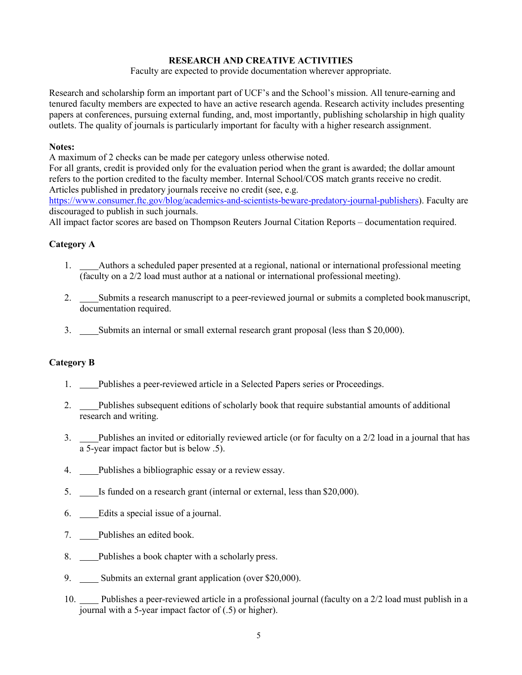# **RESEARCH AND CREATIVE ACTIVITIES**

Faculty are expected to provide documentation wherever appropriate.

Research and scholarship form an important part of UCF's and the School's mission. All tenure-earning and tenured faculty members are expected to have an active research agenda. Research activity includes presenting papers at conferences, pursuing external funding, and, most importantly, publishing scholarship in high quality outlets. The quality of journals is particularly important for faculty with a higher research assignment.

## **Notes:**

A maximum of 2 checks can be made per category unless otherwise noted.

For all grants, credit is provided only for the evaluation period when the grant is awarded; the dollar amount refers to the portion credited to the faculty member. Internal School/COS match grants receive no credit. Articles published in predatory journals receive no credit (see, e.g.

[https://www.consumer.ftc.gov/blog/academics-and-scientists-beware-predatory-journal-publishers\)](https://www.consumer.ftc.gov/blog/academics-and-scientists-beware-predatory-journal-publishers). Faculty are discouraged to publish in such journals.

All impact factor scores are based on Thompson Reuters Journal Citation Reports – documentation required.

# **Category A**

- 1. Authors a scheduled paper presented at a regional, national or international professional meeting (faculty on a 2/2 load must author at a national or international professional meeting).
- 2. Submits a research manuscript to a peer-reviewed journal or submits a completed bookmanuscript, documentation required.
- 3. Submits an internal or small external research grant proposal (less than \$20,000).

# **Category B**

- 1. Publishes a peer-reviewed article in a Selected Papers series or Proceedings.
- 2. Publishes subsequent editions of scholarly book that require substantial amounts of additional research and writing.
- 3. Publishes an invited or editorially reviewed article (or for faculty on a 2/2 load in a journal that has a 5-year impact factor but is below .5).
- 4. Publishes a bibliographic essay or a review essay.
- 5. **IS funded on a research grant (internal or external, less than \$20,000).**
- 6. Edits a special issue of a journal.
- 7. Publishes an edited book.
- 8. Publishes a book chapter with a scholarly press.
- 9. Submits an external grant application (over \$20,000).
- 10. Publishes a peer-reviewed article in a professional journal (faculty on a 2/2 load must publish in a journal with a 5-year impact factor of (.5) or higher).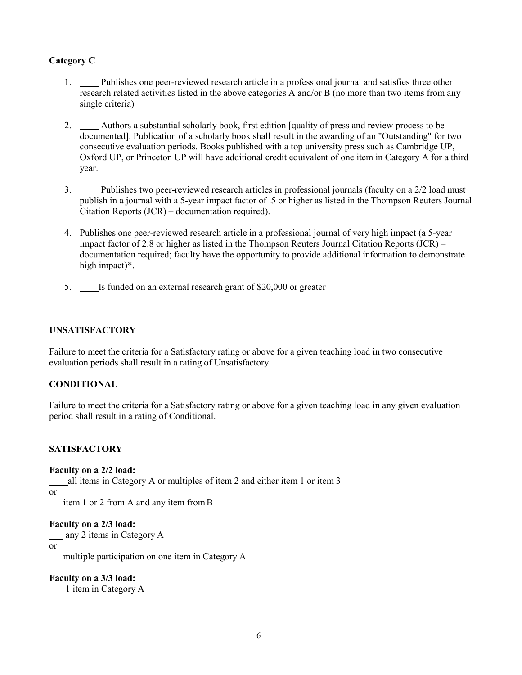# **Category C**

- 1. Publishes one peer-reviewed research article in a professional journal and satisfies three other research related activities listed in the above categories A and/or B (no more than two items from any single criteria)
- 2. Authors a substantial scholarly book, first edition [quality of press and review process to be documented]. Publication of a scholarly book shall result in the awarding of an "Outstanding" for two consecutive evaluation periods. Books published with a top university press such as Cambridge UP, Oxford UP, or Princeton UP will have additional credit equivalent of one item in Category A for a third year.
- 3. Publishes two peer-reviewed research articles in professional journals (faculty on a 2/2 load must publish in a journal with a 5-year impact factor of .5 or higher as listed in the Thompson Reuters Journal Citation Reports (JCR) – documentation required).
- 4. Publishes one peer-reviewed research article in a professional journal of very high impact (a 5-year impact factor of 2.8 or higher as listed in the Thompson Reuters Journal Citation Reports (JCR) – documentation required; faculty have the opportunity to provide additional information to demonstrate high impact)\*.
- 5. Is funded on an external research grant of \$20,000 or greater

# **UNSATISFACTORY**

Failure to meet the criteria for a Satisfactory rating or above for a given teaching load in two consecutive evaluation periods shall result in a rating of Unsatisfactory.

## **CONDITIONAL**

Failure to meet the criteria for a Satisfactory rating or above for a given teaching load in any given evaluation period shall result in a rating of Conditional.

## **SATISFACTORY**

#### **Faculty on a 2/2 load:**

all items in Category A or multiples of item 2 and either item 1 or item 3

or

item 1 or 2 from A and any item fromB

## **Faculty on a 2/3 load:**

any 2 items in Category A

or

multiple participation on one item in Category A

**Faculty on a 3/3 load:** 1 item in Category A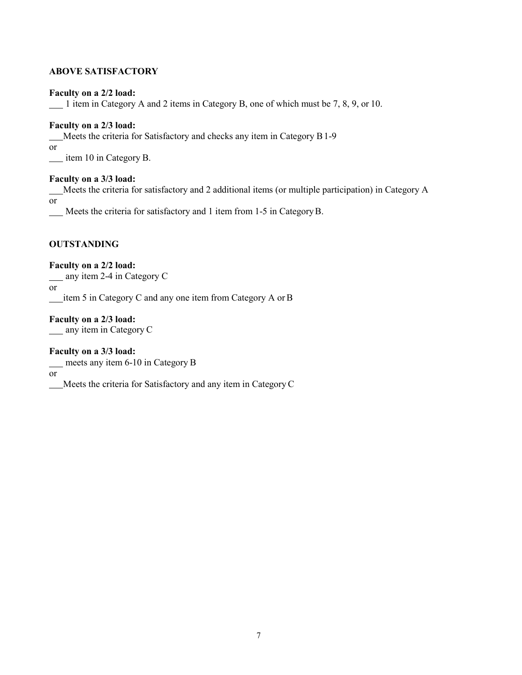# **ABOVE SATISFACTORY**

#### **Faculty on a 2/2 load:**

 $\frac{1}{2}$  item in Category A and 2 items in Category B, one of which must be 7, 8, 9, or 10.

#### **Faculty on a 2/3 load:**

Meets the criteria for Satisfactory and checks any item in Category B1-9

or

item 10 in Category B.

### **Faculty on a 3/3 load:**

Meets the criteria for satisfactory and 2 additional items (or multiple participation) in Category A or

Meets the criteria for satisfactory and 1 item from 1-5 in CategoryB.

# **OUTSTANDING**

**Faculty on a 2/2 load:**

any item 2-4 in Category C

or

item 5 in Category C and any one item from Category A orB

**Faculty on a 2/3 load:** <u>any</u> item in Category C

**Faculty on a 3/3 load:**

meets any item 6-10 in Category B

or

Meets the criteria for Satisfactory and any item in CategoryC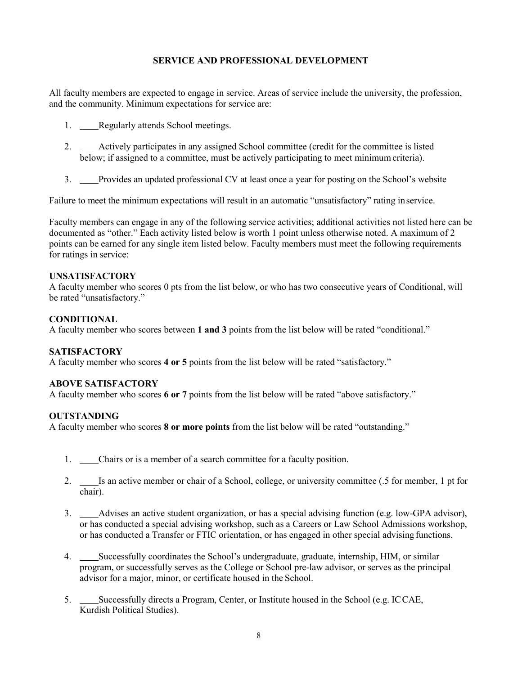# **SERVICE AND PROFESSIONAL DEVELOPMENT**

All faculty members are expected to engage in service. Areas of service include the university, the profession, and the community. Minimum expectations for service are:

- 1. Regularly attends School meetings.
- 2. Actively participates in any assigned School committee (credit for the committee is listed below; if assigned to a committee, must be actively participating to meet minimum criteria).
- 3. Provides an updated professional CV at least once a year for posting on the School's website

Failure to meet the minimum expectations will result in an automatic "unsatisfactory" rating inservice.

Faculty members can engage in any of the following service activities; additional activities not listed here can be documented as "other." Each activity listed below is worth 1 point unless otherwise noted. A maximum of 2 points can be earned for any single item listed below. Faculty members must meet the following requirements for ratings in service:

### **UNSATISFACTORY**

A faculty member who scores 0 pts from the list below, or who has two consecutive years of Conditional, will be rated "unsatisfactory."

### **CONDITIONAL**

A faculty member who scores between **1 and 3** points from the list below will be rated "conditional."

## **SATISFACTORY**

A faculty member who scores **4 or 5** points from the list below will be rated "satisfactory."

#### **ABOVE SATISFACTORY**

A faculty member who scores **6 or 7** points from the list below will be rated "above satisfactory."

#### **OUTSTANDING**

A faculty member who scores **8 or more points** from the list below will be rated "outstanding."

- 1. Chairs or is a member of a search committee for a faculty position.
- 2. \_\_\_\_Is an active member or chair of a School, college, or university committee (.5 for member, 1 pt for chair).
- 3. Advises an active student organization, or has a special advising function (e.g. low-GPA advisor), or has conducted a special advising workshop, such as a Careers or Law School Admissions workshop, or has conducted a Transfer or FTIC orientation, or has engaged in other special advising functions.
- 4. Successfully coordinates the School's undergraduate, graduate, internship, HIM, or similar program, or successfully serves as the College or School pre-law advisor, or serves as the principal advisor for a major, minor, or certificate housed in the School.
- 5. Successfully directs a Program, Center, or Institute housed in the School (e.g. ICCAE, Kurdish Political Studies).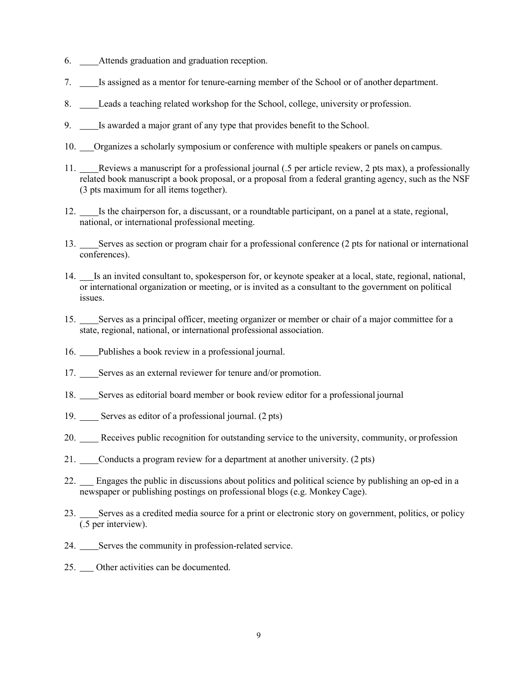- 6. Attends graduation and graduation reception.
- 7. Is assigned as a mentor for tenure-earning member of the School or of another department.
- 8. Leads a teaching related workshop for the School, college, university or profession.
- 9. Is awarded a major grant of any type that provides benefit to the School.
- 10. Organizes a scholarly symposium or conference with multiple speakers or panels on campus.
- 11. Reviews a manuscript for a professional journal (.5 per article review, 2 pts max), a professionally related book manuscript a book proposal, or a proposal from a federal granting agency, such as the NSF (3 pts maximum for all items together).
- 12. Is the chairperson for, a discussant, or a roundtable participant, on a panel at a state, regional, national, or international professional meeting.
- 13. Serves as section or program chair for a professional conference (2 pts for national or international conferences).
- 14. Is an invited consultant to, spokesperson for, or keynote speaker at a local, state, regional, national, or international organization or meeting, or is invited as a consultant to the government on political issues.
- 15. Serves as a principal officer, meeting organizer or member or chair of a major committee for a state, regional, national, or international professional association.
- 16. Publishes a book review in a professional journal.
- 17. Serves as an external reviewer for tenure and/or promotion.
- 18. Serves as editorial board member or book review editor for a professional journal
- 19. Serves as editor of a professional journal. (2 pts)
- 20. Receives public recognition for outstanding service to the university, community, or profession
- 21. Conducts a program review for a department at another university. (2 pts)
- 22. Engages the public in discussions about politics and political science by publishing an op-ed in a newspaper or publishing postings on professional blogs (e.g. Monkey Cage).
- 23. Serves as a credited media source for a print or electronic story on government, politics, or policy (.5 per interview).
- 24. Serves the community in profession-related service.
- 25. Other activities can be documented.